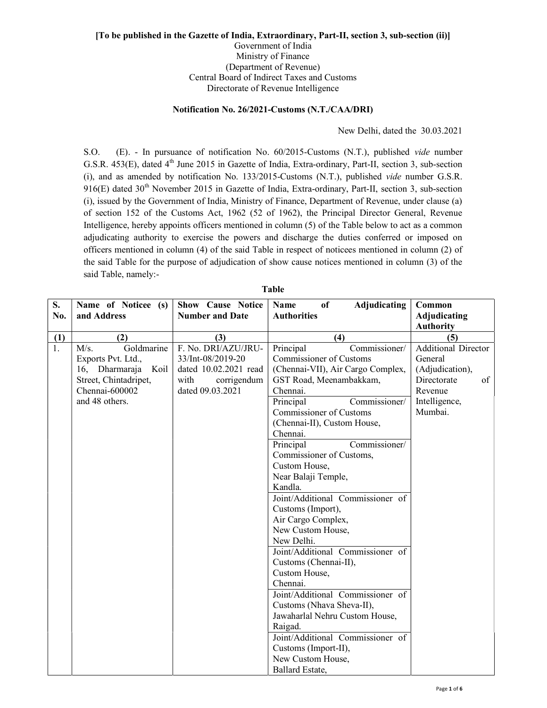# [To be published in the Gazette of India, Extraordinary, Part-II, section 3, sub-section (ii)] Government of India Ministry of Finance (Department of Revenue)

Central Board of Indirect Taxes and Customs Directorate of Revenue Intelligence

## Notification No. 26/2021-Customs (N.T./CAA/DRI)

New Delhi, dated the 30.03.2021

S.O. (E). - In pursuance of notification No. 60/2015-Customs (N.T.), published vide number G.S.R. 453(E), dated 4<sup>th</sup> June 2015 in Gazette of India, Extra-ordinary, Part-II, section 3, sub-section (i), and as amended by notification No. 133/2015-Customs (N.T.), published vide number G.S.R.  $916(E)$  dated  $30<sup>th</sup>$  November 2015 in Gazette of India, Extra-ordinary, Part-II, section 3, sub-section (i), issued by the Government of India, Ministry of Finance, Department of Revenue, under clause (a) of section 152 of the Customs Act, 1962 (52 of 1962), the Principal Director General, Revenue Intelligence, hereby appoints officers mentioned in column (5) of the Table below to act as a common adjudicating authority to exercise the powers and discharge the duties conferred or imposed on officers mentioned in column (4) of the said Table in respect of noticees mentioned in column (2) of the said Table for the purpose of adjudication of show cause notices mentioned in column (3) of the said Table, namely:-

| S.<br>No. | Name of Noticee (s)<br>and Address | <b>Show Cause Notice</b><br><b>Number and Date</b> | Adjudicating<br>of<br><b>Name</b><br><b>Authorities</b> | Common<br><b>Adjudicating</b> |
|-----------|------------------------------------|----------------------------------------------------|---------------------------------------------------------|-------------------------------|
|           |                                    |                                                    |                                                         | <b>Authority</b>              |
| (1)       | (2)                                | (3)                                                | (4)                                                     | (5)                           |
| 1.        | Goldmarine<br>M/s.                 | F. No. DRI/AZU/JRU-                                | Principal<br>Commissioner/                              | <b>Additional Director</b>    |
|           | Exports Pvt. Ltd.,                 | 33/Int-08/2019-20                                  | Commissioner of Customs                                 | General                       |
|           | 16, Dharmaraja<br>Koil             | dated 10.02.2021 read                              | (Chennai-VII), Air Cargo Complex,                       | (Adjudication),               |
|           | Street, Chintadripet,              | with<br>corrigendum                                | GST Road, Meenambakkam,                                 | Directorate<br>of             |
|           | Chennai-600002                     | dated 09.03.2021                                   | Chennai.                                                | Revenue                       |
|           | and 48 others.                     |                                                    | Principal<br>Commissioner/                              | Intelligence,                 |
|           |                                    |                                                    | <b>Commissioner of Customs</b>                          | Mumbai.                       |
|           |                                    |                                                    | (Chennai-II), Custom House,                             |                               |
|           |                                    |                                                    | Chennai.                                                |                               |
|           |                                    |                                                    | Principal<br>Commissioner/                              |                               |
|           |                                    |                                                    | Commissioner of Customs,                                |                               |
|           |                                    |                                                    | Custom House,                                           |                               |
|           |                                    |                                                    | Near Balaji Temple,                                     |                               |
|           |                                    |                                                    | Kandla.                                                 |                               |
|           |                                    |                                                    | Joint/Additional Commissioner of                        |                               |
|           |                                    |                                                    | Customs (Import),                                       |                               |
|           |                                    |                                                    | Air Cargo Complex,                                      |                               |
|           |                                    |                                                    | New Custom House,                                       |                               |
|           |                                    |                                                    | New Delhi.                                              |                               |
|           |                                    |                                                    | Joint/Additional Commissioner of                        |                               |
|           |                                    |                                                    | Customs (Chennai-II),                                   |                               |
|           |                                    |                                                    | Custom House,                                           |                               |
|           |                                    |                                                    | Chennai.                                                |                               |
|           |                                    |                                                    | Joint/Additional Commissioner of                        |                               |
|           |                                    |                                                    | Customs (Nhava Sheva-II),                               |                               |
|           |                                    |                                                    | Jawaharlal Nehru Custom House,                          |                               |
|           |                                    |                                                    | Raigad.                                                 |                               |
|           |                                    |                                                    | Joint/Additional Commissioner of                        |                               |
|           |                                    |                                                    | Customs (Import-II),                                    |                               |
|           |                                    |                                                    | New Custom House,                                       |                               |
|           |                                    |                                                    | Ballard Estate,                                         |                               |

Table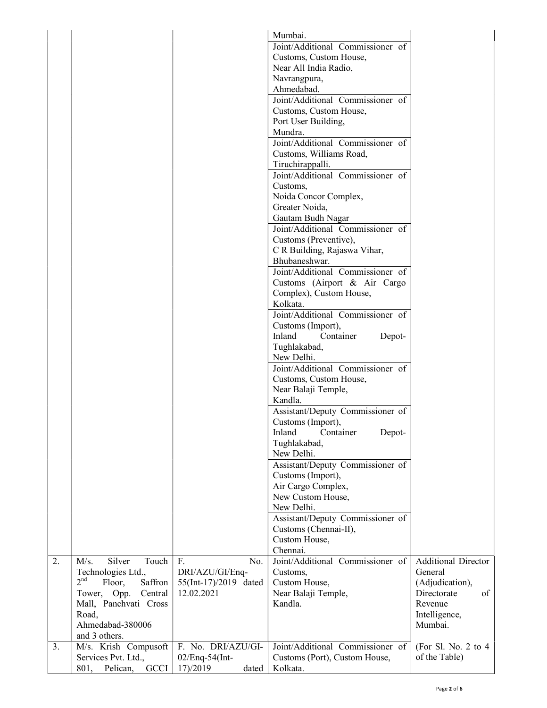|    |                                      |                       | Mumbai.                                              |                            |
|----|--------------------------------------|-----------------------|------------------------------------------------------|----------------------------|
|    |                                      |                       | Joint/Additional Commissioner of                     |                            |
|    |                                      |                       | Customs, Custom House,                               |                            |
|    |                                      |                       | Near All India Radio,                                |                            |
|    |                                      |                       | Navrangpura,                                         |                            |
|    |                                      |                       | Ahmedabad.                                           |                            |
|    |                                      |                       | Joint/Additional Commissioner of                     |                            |
|    |                                      |                       | Customs, Custom House,                               |                            |
|    |                                      |                       | Port User Building,                                  |                            |
|    |                                      |                       | Mundra.                                              |                            |
|    |                                      |                       | Joint/Additional Commissioner of                     |                            |
|    |                                      |                       | Customs, Williams Road,                              |                            |
|    |                                      |                       | Tiruchirappalli.<br>Joint/Additional Commissioner of |                            |
|    |                                      |                       | Customs,                                             |                            |
|    |                                      |                       | Noida Concor Complex,                                |                            |
|    |                                      |                       | Greater Noida,                                       |                            |
|    |                                      |                       | Gautam Budh Nagar                                    |                            |
|    |                                      |                       | Joint/Additional Commissioner of                     |                            |
|    |                                      |                       | Customs (Preventive),                                |                            |
|    |                                      |                       | C R Building, Rajaswa Vihar,                         |                            |
|    |                                      |                       | Bhubaneshwar.                                        |                            |
|    |                                      |                       | Joint/Additional Commissioner of                     |                            |
|    |                                      |                       | Customs (Airport & Air Cargo                         |                            |
|    |                                      |                       | Complex), Custom House,                              |                            |
|    |                                      |                       | Kolkata.                                             |                            |
|    |                                      |                       | Joint/Additional Commissioner of                     |                            |
|    |                                      |                       | Customs (Import),                                    |                            |
|    |                                      |                       | Inland<br>Container<br>Depot-                        |                            |
|    |                                      |                       | Tughlakabad,                                         |                            |
|    |                                      |                       | New Delhi.<br>Joint/Additional Commissioner of       |                            |
|    |                                      |                       | Customs, Custom House,                               |                            |
|    |                                      |                       | Near Balaji Temple,                                  |                            |
|    |                                      |                       | Kandla.                                              |                            |
|    |                                      |                       | Assistant/Deputy Commissioner of                     |                            |
|    |                                      |                       | Customs (Import),                                    |                            |
|    |                                      |                       | Inland Container<br>Depot-                           |                            |
|    |                                      |                       | Tughlakabad,                                         |                            |
|    |                                      |                       | New Delhi.                                           |                            |
|    |                                      |                       | Assistant/Deputy Commissioner of                     |                            |
|    |                                      |                       | Customs (Import),                                    |                            |
|    |                                      |                       | Air Cargo Complex,                                   |                            |
|    |                                      |                       | New Custom House,                                    |                            |
|    |                                      |                       | New Delhi.                                           |                            |
|    |                                      |                       | Assistant/Deputy Commissioner of                     |                            |
|    |                                      |                       | Customs (Chennai-II),                                |                            |
|    |                                      |                       | Custom House,<br>Chennai.                            |                            |
| 2. | M/s.<br>Silver<br>Touch              | No.<br>F.             | Joint/Additional Commissioner of                     | <b>Additional Director</b> |
|    | Technologies Ltd.,                   | DRI/AZU/GI/Enq-       | Customs,                                             | General                    |
|    | 2 <sup>nd</sup><br>Floor,<br>Saffron | 55(Int-17)/2019 dated | Custom House,                                        | (Adjudication),            |
|    | Tower, Opp.<br>Central               | 12.02.2021            | Near Balaji Temple,                                  | Directorate<br>of          |
|    | Mall, Panchvati Cross                |                       | Kandla.                                              | Revenue                    |
|    | Road,                                |                       |                                                      | Intelligence,              |
|    | Ahmedabad-380006                     |                       |                                                      | Mumbai.                    |
|    | and 3 others.                        |                       |                                                      |                            |
| 3. | M/s. Krish Compusoft                 | F. No. DRI/AZU/GI-    | Joint/Additional Commissioner of                     | (For Sl. No. 2 to $4$      |
|    | Services Pvt. Ltd.,                  | $02/Eng-54(Int-$      | Customs (Port), Custom House,                        | of the Table)              |
|    | 801, Pelican,<br><b>GCCI</b>         | 17)/2019<br>dated     | Kolkata.                                             |                            |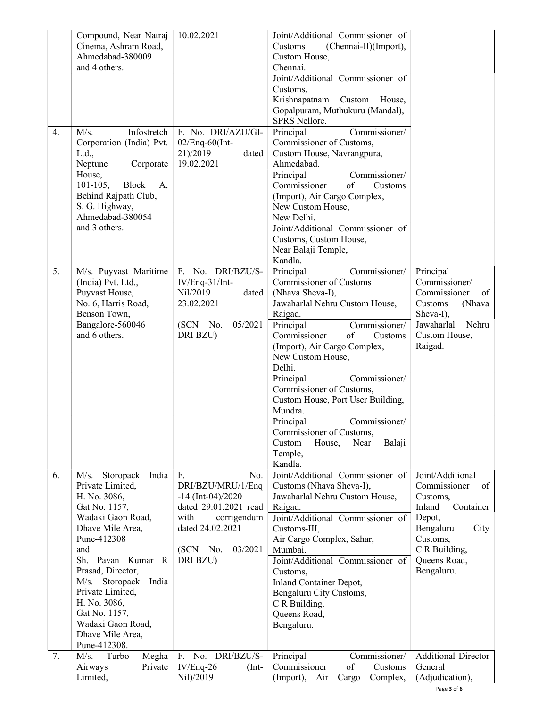|    | Compound, Near Natraj       | 10.02.2021              | Joint/Additional Commissioner of      |                            |
|----|-----------------------------|-------------------------|---------------------------------------|----------------------------|
|    | Cinema, Ashram Road,        |                         | (Chennai-II)(Import),<br>Customs      |                            |
|    | Ahmedabad-380009            |                         | Custom House,                         |                            |
|    | and 4 others.               |                         | Chennai.                              |                            |
|    |                             |                         | Joint/Additional Commissioner of      |                            |
|    |                             |                         | Customs,                              |                            |
|    |                             |                         | Krishnapatnam Custom<br>House,        |                            |
|    |                             |                         | Gopalpuram, Muthukuru (Mandal),       |                            |
|    |                             |                         | SPRS Nellore.                         |                            |
| 4. | M/s.<br>Infostretch         | F. No. DRI/AZU/GI-      | Commissioner/<br>Principal            |                            |
|    | Corporation (India) Pvt.    | $02/Eng-60$ (Int-       | Commissioner of Customs,              |                            |
|    | Ltd.,                       | 21)/2019<br>dated       | Custom House, Navrangpura,            |                            |
|    | Neptune<br>Corporate        | 19.02.2021              | Ahmedabad.                            |                            |
|    | House,                      |                         | Commissioner/<br>Principal            |                            |
|    | $101 - 105,$<br>Block<br>A, |                         | Commissioner<br>of<br>Customs         |                            |
|    | Behind Rajpath Club,        |                         | (Import), Air Cargo Complex,          |                            |
|    | S. G. Highway,              |                         | New Custom House,                     |                            |
|    | Ahmedabad-380054            |                         | New Delhi.                            |                            |
|    | and 3 others.               |                         | Joint/Additional Commissioner of      |                            |
|    |                             |                         | Customs, Custom House,                |                            |
|    |                             |                         | Near Balaji Temple,                   |                            |
|    |                             |                         | Kandla.                               |                            |
| 5. | M/s. Puyvast Maritime       | F. No. DRI/BZU/S-       | Commissioner/<br>Principal            | Principal                  |
|    | (India) Pvt. Ltd.,          | IV/Enq-31/Int-          | Commissioner of Customs               | Commissioner/              |
|    | Puyvast House,              | Nil/2019<br>dated       | (Nhava Sheva-I),                      | Commissioner<br>of         |
|    | No. 6, Harris Road,         | 23.02.2021              | Jawaharlal Nehru Custom House,        | Customs<br>(Nhava          |
|    | Benson Town,                |                         | Raigad.                               | Sheva-I),                  |
|    | Bangalore-560046            | (SCN No.<br>05/2021     | Commissioner/<br>Principal            | Jawaharlal<br>Nehru        |
|    | and 6 others.               | DRI BZU)                | Commissioner<br>of<br>Customs         | Custom House,              |
|    |                             |                         | (Import), Air Cargo Complex,          | Raigad.                    |
|    |                             |                         | New Custom House,                     |                            |
|    |                             |                         | Delhi.                                |                            |
|    |                             |                         | Commissioner/<br>Principal            |                            |
|    |                             |                         | Commissioner of Customs,              |                            |
|    |                             |                         | Custom House, Port User Building,     |                            |
|    |                             |                         | Mundra.                               |                            |
|    |                             |                         | Commissioner/<br>Principal            |                            |
|    |                             |                         | Commissioner of Customs,              |                            |
|    |                             |                         | House,<br>Near<br>Balaji<br>Custom    |                            |
|    |                             |                         | Temple,                               |                            |
|    |                             |                         | Kandla.                               |                            |
| 6. | M/s.<br>Storopack<br>India  | F.<br>No.               | Joint/Additional Commissioner of      | Joint/Additional           |
|    | Private Limited,            | DRI/BZU/MRU/1/Enq       | Customs (Nhava Sheva-I),              | Commissioner<br>of         |
|    | H. No. 3086,                | $-14$ (Int-04)/2020     | Jawaharlal Nehru Custom House,        | Customs,                   |
|    | Gat No. 1157,               | dated 29.01.2021 read   | Raigad.                               | Inland<br>Container        |
|    | Wadaki Gaon Road,           | with<br>corrigendum     | Joint/Additional Commissioner of      | Depot,                     |
|    | Dhave Mile Area,            | dated 24.02.2021        | Customs-III,                          | Bengaluru<br>City          |
|    | Pune-412308                 |                         | Air Cargo Complex, Sahar,             | Customs,                   |
|    | and                         | (SCN No.<br>03/2021     | Mumbai.                               | C R Building,              |
|    | Sh. Pavan Kumar R           | DRI BZU)                | Joint/Additional Commissioner of      | Queens Road,               |
|    | Prasad, Director,           |                         | Customs,                              | Bengaluru.                 |
|    | M/s. Storopack<br>India     |                         | Inland Container Depot,               |                            |
|    | Private Limited,            |                         | Bengaluru City Customs,               |                            |
|    | H. No. 3086,                |                         | C R Building,                         |                            |
|    | Gat No. 1157,               |                         | Queens Road,                          |                            |
|    | Wadaki Gaon Road,           |                         | Bengaluru.                            |                            |
|    | Dhave Mile Area,            |                         |                                       |                            |
|    | Pune-412308.                |                         |                                       |                            |
| 7. | M/s.<br>Megha<br>Turbo      | DRI/BZU/S-<br>No.<br>F. | Principal<br>Commissioner/            | <b>Additional Director</b> |
|    | Airways<br>Private          | $IV/Eng-26$<br>$(Int-$  | Commissioner<br>of<br>Customs         | General                    |
|    | Limited,                    | Nil)/2019               | (Import),<br>Air<br>Cargo<br>Complex, | (Adjudication),            |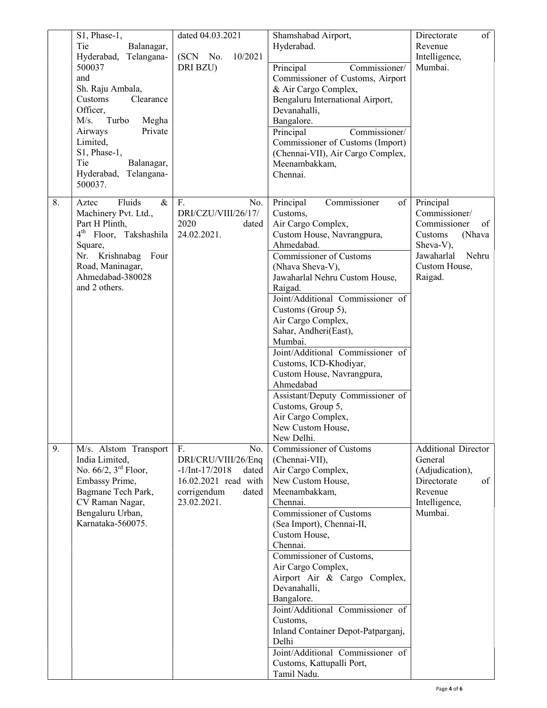|    | S1, Phase-1,                                  | dated 04.03.2021          | Shamshabad Airport,                                                   | of<br>Directorate                |
|----|-----------------------------------------------|---------------------------|-----------------------------------------------------------------------|----------------------------------|
|    | Tie<br>Balanagar,                             |                           | Hyderabad.                                                            | Revenue                          |
|    | Hyderabad, Telangana-                         | 10/2021<br>(SCN No.       |                                                                       | Intelligence,                    |
|    | 500037                                        | DRI BZU)                  | Principal<br>Commissioner/                                            | Mumbai.                          |
|    | and                                           |                           | Commissioner of Customs, Airport                                      |                                  |
|    | Sh. Raju Ambala,                              |                           | & Air Cargo Complex,                                                  |                                  |
|    | Customs<br>Clearance                          |                           | Bengaluru International Airport,                                      |                                  |
|    | Officer,<br>Turbo                             |                           | Devanahalli,                                                          |                                  |
|    | M/s.<br>Megha<br>Airways<br>Private           |                           | Bangalore.                                                            |                                  |
|    | Limited,                                      |                           | Principal<br>Commissioner/                                            |                                  |
|    | S1, Phase-1,                                  |                           | Commissioner of Customs (Import)<br>(Chennai-VII), Air Cargo Complex, |                                  |
|    | Tie<br>Balanagar,                             |                           | Meenambakkam,                                                         |                                  |
|    | Hyderabad, Telangana-                         |                           | Chennai.                                                              |                                  |
|    | 500037.                                       |                           |                                                                       |                                  |
| 8. | Fluids<br>Aztec<br>$\&$                       | F.<br>No.                 | Commissioner<br>Principal<br>of                                       | Principal                        |
|    | Machinery Pvt. Ltd.,                          | DRI/CZU/VIII/26/17/       | Customs,                                                              | Commissioner/                    |
|    | Part H Plinth,                                | 2020<br>dated             | Air Cargo Complex,                                                    | Commissioner<br>of               |
|    | 4 <sup>th</sup> Floor, Takshashila<br>Square, | 24.02.2021.               | Custom House, Navrangpura,<br>Ahmedabad.                              | Customs<br>(Nhava                |
|    | Nr. Krishnabag Four                           |                           | Commissioner of Customs                                               | Sheva-V),<br>Jawaharlal<br>Nehru |
|    | Road, Maninagar,                              |                           | (Nhava Sheva-V),                                                      | Custom House,                    |
|    | Ahmedabad-380028                              |                           | Jawaharlal Nehru Custom House,                                        | Raigad.                          |
|    | and 2 others.                                 |                           | Raigad.                                                               |                                  |
|    |                                               |                           | Joint/Additional Commissioner of                                      |                                  |
|    |                                               |                           | Customs (Group 5),                                                    |                                  |
|    |                                               |                           | Air Cargo Complex,                                                    |                                  |
|    |                                               |                           | Sahar, Andheri(East),                                                 |                                  |
|    |                                               |                           | Mumbai.                                                               |                                  |
|    |                                               |                           | Joint/Additional Commissioner of                                      |                                  |
|    |                                               |                           | Customs, ICD-Khodiyar,                                                |                                  |
|    |                                               |                           | Custom House, Navrangpura,                                            |                                  |
|    |                                               |                           | Ahmedabad                                                             |                                  |
|    |                                               |                           | Assistant/Deputy Commissioner of<br>Customs, Group 5,                 |                                  |
|    |                                               |                           | Air Cargo Complex,                                                    |                                  |
|    |                                               |                           | New Custom House,                                                     |                                  |
|    |                                               |                           | New Delhi.                                                            |                                  |
| 9. | M/s. Alstom Transport                         | F.<br>No.                 | <b>Commissioner of Customs</b>                                        | <b>Additional Director</b>       |
|    | India Limited,                                | DRI/CRU/VIII/26/Enq       | (Chennai-VII),                                                        | General                          |
|    | No. $66/2$ , $3rd$ Floor,                     | $-1/Int-17/2018$<br>dated | Air Cargo Complex,                                                    | (Adjudication),                  |
|    | Embassy Prime,                                | 16.02.2021 read with      | New Custom House,                                                     | Directorate<br>of                |
|    | Bagmane Tech Park,                            | corrigendum<br>dated      | Meenambakkam,                                                         | Revenue                          |
|    | CV Raman Nagar,                               | 23.02.2021.               | Chennai.                                                              | Intelligence,                    |
|    | Bengaluru Urban,                              |                           | Commissioner of Customs                                               | Mumbai.                          |
|    | Karnataka-560075.                             |                           | (Sea Import), Chennai-II,                                             |                                  |
|    |                                               |                           | Custom House,                                                         |                                  |
|    |                                               |                           | Chennai.<br>Commissioner of Customs,                                  |                                  |
|    |                                               |                           | Air Cargo Complex,                                                    |                                  |
|    |                                               |                           | Airport Air & Cargo Complex,                                          |                                  |
|    |                                               |                           | Devanahalli,                                                          |                                  |
|    |                                               |                           | Bangalore.                                                            |                                  |
|    |                                               |                           | Joint/Additional Commissioner of                                      |                                  |
|    |                                               |                           | Customs,                                                              |                                  |
|    |                                               |                           | Inland Container Depot-Patparganj,                                    |                                  |
|    |                                               |                           | Delhi                                                                 |                                  |
|    |                                               |                           | Joint/Additional Commissioner of                                      |                                  |
|    |                                               |                           | Customs, Kattupalli Port,                                             |                                  |
|    |                                               |                           | Tamil Nadu.                                                           |                                  |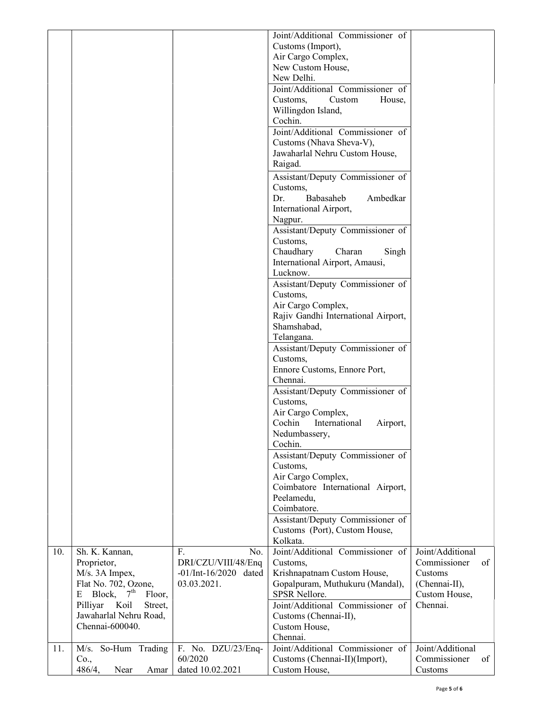|     |                                                                                                                                                                                                 |                                                                               | Joint/Additional Commissioner of<br>Customs (Import),<br>Air Cargo Complex,<br>New Custom House,<br>New Delhi.<br>Joint/Additional Commissioner of<br>Custom<br>House,<br>Customs,<br>Willingdon Island,<br>Cochin.<br>Joint/Additional Commissioner of<br>Customs (Nhava Sheva-V),<br>Jawaharlal Nehru Custom House,<br>Raigad.<br>Assistant/Deputy Commissioner of<br>Customs,<br>Babasaheb<br>Ambedkar<br>Dr.<br>International Airport,<br>Nagpur.<br>Assistant/Deputy Commissioner of<br>Customs,<br>Chaudhary<br>Charan<br>Singh<br>International Airport, Amausi,<br>Lucknow.<br>Assistant/Deputy Commissioner of<br>Customs,<br>Air Cargo Complex,<br>Rajiv Gandhi International Airport,<br>Shamshabad,<br>Telangana.<br>Assistant/Deputy Commissioner of<br>Customs,<br>Ennore Customs, Ennore Port,<br>Chennai.<br>Assistant/Deputy Commissioner of<br>Customs,<br>Air Cargo Complex,<br>Cochin<br>International<br>Airport,<br>Nedumbassery,<br>Cochin.<br>Assistant/Deputy Commissioner of<br>Customs,<br>Air Cargo Complex,<br>Coimbatore International Airport,<br>Peelamedu,<br>Coimbatore.<br>Assistant/Deputy Commissioner of<br>Customs (Port), Custom House, |                                                                                                 |
|-----|-------------------------------------------------------------------------------------------------------------------------------------------------------------------------------------------------|-------------------------------------------------------------------------------|---------------------------------------------------------------------------------------------------------------------------------------------------------------------------------------------------------------------------------------------------------------------------------------------------------------------------------------------------------------------------------------------------------------------------------------------------------------------------------------------------------------------------------------------------------------------------------------------------------------------------------------------------------------------------------------------------------------------------------------------------------------------------------------------------------------------------------------------------------------------------------------------------------------------------------------------------------------------------------------------------------------------------------------------------------------------------------------------------------------------------------------------------------------------------------|-------------------------------------------------------------------------------------------------|
|     |                                                                                                                                                                                                 |                                                                               | Kolkata.                                                                                                                                                                                                                                                                                                                                                                                                                                                                                                                                                                                                                                                                                                                                                                                                                                                                                                                                                                                                                                                                                                                                                                        |                                                                                                 |
| 10. | Sh. K. Kannan,<br>Proprietor,<br>M/s. 3A Impex,<br>Flat No. 702, Ozone,<br>Block,<br>7 <sup>th</sup><br>Ε<br>Floor,<br>Pilliyar<br>Koil<br>Street,<br>Jawaharlal Nehru Road,<br>Chennai-600040. | F.<br>No.<br>DRI/CZU/VIII/48/Enq<br>$-01/Int-16/2020$<br>dated<br>03.03.2021. | Joint/Additional Commissioner of<br>Customs,<br>Krishnapatnam Custom House,<br>Gopalpuram, Muthukuru (Mandal),<br>SPSR Nellore.<br>Joint/Additional Commissioner of<br>Customs (Chennai-II),<br>Custom House,<br>Chennai.                                                                                                                                                                                                                                                                                                                                                                                                                                                                                                                                                                                                                                                                                                                                                                                                                                                                                                                                                       | Joint/Additional<br>Commissioner<br>of<br>Customs<br>(Chennai-II),<br>Custom House,<br>Chennai. |
| 11. | M/s. So-Hum Trading<br>Co.,<br>486/4,<br>Near<br>Amar                                                                                                                                           | F. No. DZU/23/Enq-<br>60/2020<br>dated 10.02.2021                             | Joint/Additional Commissioner of<br>Customs (Chennai-II)(Import),<br>Custom House,                                                                                                                                                                                                                                                                                                                                                                                                                                                                                                                                                                                                                                                                                                                                                                                                                                                                                                                                                                                                                                                                                              | Joint/Additional<br>Commissioner<br>οf<br>Customs                                               |